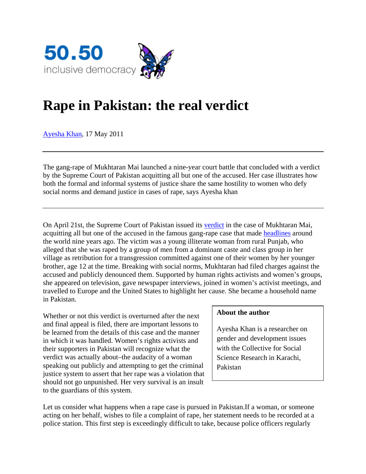

## **Rape in Pakistan: the real verdict**

Ayesha Khan, 17 May 2011

The gang-rape of Mukhtaran Mai launched a nine-year court battle that concluded with a verdict by the Supreme Court of Pakistan acquitting all but one of the accused. Her case illustrates how both the formal and informal systems of justice share the same hostility to women who defy social norms and demand justice in cases of rape, says Ayesha khan

On April 21st, the Supreme Court of Pakistan issued its verdict in the case of Mukhtaran Mai, acquitting all but one of the accused in the famous gang-rape case that made headlines around the world nine years ago. The victim was a young illiterate woman from rural Punjab, who alleged that she was raped by a group of men from a dominant caste and class group in her village as retribution for a transgression committed against one of their women by her younger brother, age 12 at the time. Breaking with social norms, Mukhtaran had filed charges against the accused and publicly denounced them. Supported by human rights activists and women's groups, she appeared on television, gave newspaper interviews, joined in women's activist meetings, and travelled to Europe and the United States to highlight her cause. She became a household name in Pakistan.

Whether or not this verdict is overturned after the next and final appeal is filed, there are important lessons to be learned from the details of this case and the manner in which it was handled. Women's rights activists and their supporters in Pakistan will recognize what the verdict was actually about–the audacity of a woman speaking out publicly and attempting to get the criminal justice system to assert that her rape was a violation that should not go unpunished. Her very survival is an insult to the guardians of this system.

## **About the author**

Ayesha Khan is a researcher on gender and development issues with the Collective for Social Science Research in Karachi, Pakistan

Let us consider what happens when a rape case is pursued in Pakistan.If a woman, or someone acting on her behalf, wishes to file a complaint of rape, her statement needs to be recorded at a police station. This first step is exceedingly difficult to take, because police officers regularly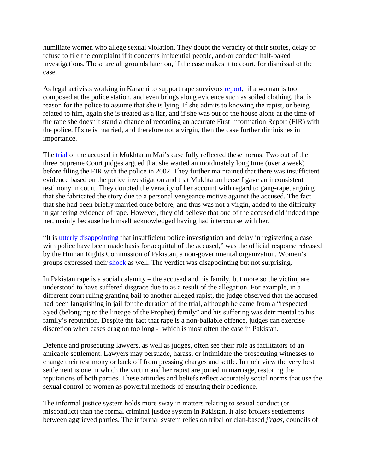humiliate women who allege sexual violation. They doubt the veracity of their stories, delay or refuse to file the complaint if it concerns influential people, and/or conduct half-baked investigations. These are all grounds later on, if the case makes it to court, for dismissal of the case.

As legal activists working in Karachi to support rape survivors report, if a woman is too composed at the police station, and even brings along evidence such as soiled clothing, that is reason for the police to assume that she is lying. If she admits to knowing the rapist, or being related to him, again she is treated as a liar, and if she was out of the house alone at the time of the rape she doesn't stand a chance of recording an accurate First Information Report (FIR) with the police. If she is married, and therefore not a virgin, then the case further diminishes in importance.

The trial of the accused in Mukhtaran Mai's case fully reflected these norms. Two out of the three Supreme Court judges argued that she waited an inordinately long time (over a week) before filing the FIR with the police in 2002. They further maintained that there was insufficient evidence based on the police investigation and that Mukhtaran herself gave an inconsistent testimony in court. They doubted the veracity of her account with regard to gang-rape, arguing that she fabricated the story due to a personal vengeance motive against the accused. The fact that she had been briefly married once before, and thus was not a virgin, added to the difficulty in gathering evidence of rape. However, they did believe that one of the accused did indeed rape her, mainly because he himself acknowledged having had intercourse with her.

"It is utterly disappointing that insufficient police investigation and delay in registering a case with police have been made basis for acquittal of the accused," was the official response released by the Human Rights Commission of Pakistan, a non-governmental organization. Women's groups expressed their shock as well. The verdict was disappointing but not surprising.

In Pakistan rape is a social calamity – the accused and his family, but more so the victim, are understood to have suffered disgrace due to as a result of the allegation. For example, in a different court ruling granting bail to another alleged rapist, the judge observed that the accused had been languishing in jail for the duration of the trial, although he came from a "respected Syed (belonging to the lineage of the Prophet) family" and his suffering was detrimental to his family's reputation. Despite the fact that rape is a non-bailable offence, judges can exercise discretion when cases drag on too long - which is most often the case in Pakistan.

Defence and prosecuting lawyers, as well as judges, often see their role as facilitators of an amicable settlement. Lawyers may persuade, harass, or intimidate the prosecuting witnesses to change their testimony or back off from pressing charges and settle. In their view the very best settlement is one in which the victim and her rapist are joined in marriage, restoring the reputations of both parties. These attitudes and beliefs reflect accurately social norms that use the sexual control of women as powerful methods of ensuring their obedience.

The informal justice system holds more sway in matters relating to sexual conduct (or misconduct) than the formal criminal justice system in Pakistan. It also brokers settlements between aggrieved parties. The informal system relies on tribal or clan-based *jirgas,* councils of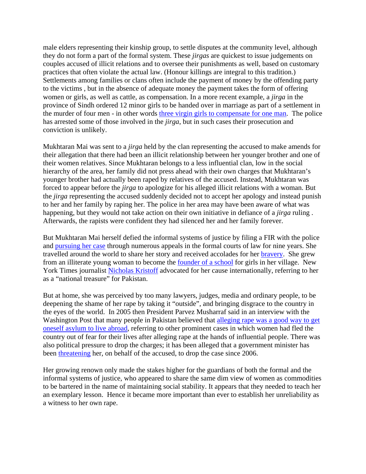male elders representing their kinship group, to settle disputes at the community level, although they do not form a part of the formal system. These *jirgas* are quickest to issue judgements on couples accused of illicit relations and to oversee their punishments as well, based on customary practices that often violate the actual law. (Honour killings are integral to this tradition.) Settlements among families or clans often include the payment of money by the offending party to the victims , but in the absence of adequate money the payment takes the form of offering women or girls, as well as cattle, as compensation. In a more recent example, a *jirga* in the province of Sindh ordered 12 minor girls to be handed over in marriage as part of a settlement in the murder of four men - in other words three virgin girls to compensate for one man. The police has arrested some of those involved in the *jirga*, but in such cases their prosecution and conviction is unlikely.

Mukhtaran Mai was sent to a *jirga* held by the clan representing the accused to make amends for their allegation that there had been an illicit relationship between her younger brother and one of their women relatives. Since Mukhtaran belongs to a less influential clan, low in the social hierarchy of the area, her family did not press ahead with their own charges that Mukhtaran's younger brother had actually been raped by relatives of the accused. Instead, Mukhtaran was forced to appear before the *jirga* to apologize for his alleged illicit relations with a woman. But the *jirga* representing the accused suddenly decided not to accept her apology and instead punish to her and her family by raping her. The police in her area may have been aware of what was happening, but they would not take action on their own initiative in defiance of a *jirga* ruling . Afterwards, the rapists were confident they had silenced her and her family forever.

But Mukhtaran Mai herself defied the informal systems of justice by filing a FIR with the police and pursuing her case through numerous appeals in the formal courts of law for nine years. She travelled around the world to share her story and received accolades for her bravery. She grew from an illiterate young woman to become the founder of a school for girls in her village. New York Times journalist Nicholas Kristoff advocated for her cause internationally, referring to her as a "national treasure" for Pakistan.

But at home, she was perceived by too many lawyers, judges, media and ordinary people, to be deepening the shame of her rape by taking it "outside", and bringing disgrace to the country in the eyes of the world. In 2005 then President Parvez Musharraf said in an interview with the Washington Post that many people in Pakistan believed that alleging rape was a good way to get oneself asylum to live abroad, referring to other prominent cases in which women had fled the country out of fear for their lives after alleging rape at the hands of influential people. There was also political pressure to drop the charges; it has been alleged that a government minister has been threatening her, on behalf of the accused, to drop the case since 2006.

Her growing renown only made the stakes higher for the guardians of both the formal and the informal systems of justice, who appeared to share the same dim view of women as commodities to be bartered in the name of maintaining social stability. It appears that they needed to teach her an exemplary lesson. Hence it became more important than ever to establish her unreliability as a witness to her own rape.